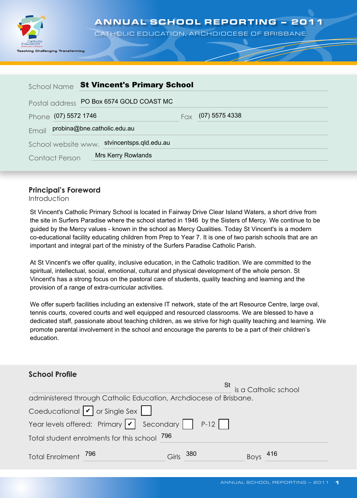

ANNUAL SCHOOL REPORTING – 2011

CATHOLIC EDUCATION, ARCHDIOCESE OF BRISBANE

| School Name                          | <b>St Vincent's Primary School</b>       |  |  |  |
|--------------------------------------|------------------------------------------|--|--|--|
|                                      | Postal address PO Box 6574 GOLD COAST MC |  |  |  |
| Phone (07) 5572 1746                 | $(07)$ 5575 4338<br>Fax                  |  |  |  |
| probina@bne.catholic.edu.au<br>Email |                                          |  |  |  |
| School website www.                  | stvincentsps.qld.edu.au                  |  |  |  |
| <b>Contact Person</b>                | <b>Mrs Kerry Rowlands</b>                |  |  |  |

### **Principal's Foreword**

Introduction

St Vincent's Catholic Primary School is located in Fairway Drive Clear Island Waters, a short drive from the site in Surfers Paradise where the school started in 1946 by the Sisters of Mercy. We continue to be guided by the Mercy values - known in the school as Mercy Qualities. Today St Vincent's is a modern co-educational facility educating children from Prep to Year 7. It is one of two parish schools that are an important and integral part of the ministry of the Surfers Paradise Catholic Parish.

At St Vincent's we offer quality, inclusive education, in the Catholic tradition. We are committed to the spiritual, intellectual, social, emotional, cultural and physical development of the whole person. St Vincent's has a strong focus on the pastoral care of students, quality teaching and learning and the provision of a range of extra-curricular activities.

We offer superb facilities including an extensive IT network, state of the art Resource Centre, large oval, tennis courts, covered courts and well equipped and resourced classrooms. We are blessed to have a dedicated staff, passionate about teaching children, as we strive for high quality teaching and learning. We promote parental involvement in the school and encourage the parents to be a part of their children's education.

| <b>School Profile</b>                                                                  |              |                            |
|----------------------------------------------------------------------------------------|--------------|----------------------------|
|                                                                                        |              | St<br>is a Catholic school |
| administered through Catholic Education, Archdiocese of Brisbane.                      |              |                            |
| Coeducational $ v $ or Single Sex                                                      |              |                            |
| Year levels offered: Primary $\sqrt{\phantom{a}}$ Secondary $\boxed{\phantom{a}}$ P-12 |              |                            |
| Total student enrolments for this school 796                                           |              |                            |
| Total Enrolment 796                                                                    | 380<br>Girls | - 416<br><b>Boys</b>       |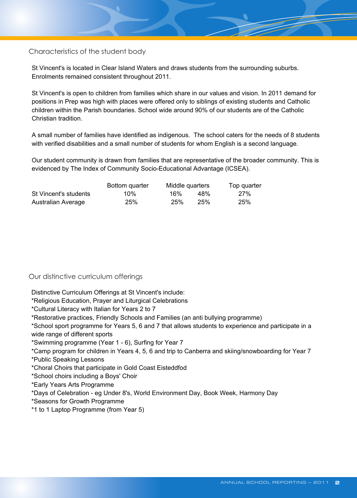Characteristics of the student body

St Vincent's is located in Clear Island Waters and draws students from the surrounding suburbs. Enrolments remained consistent throughout 2011.

St Vincent's is open to children from families which share in our values and vision. In 2011 demand for positions in Prep was high with places were offered only to siblings of existing students and Catholic children within the Parish boundaries. School wide around 90% of our students are of the Catholic Christian tradition.

A small number of families have identified as indigenous. The school caters for the needs of 8 students with verified disabilities and a small number of students for whom English is a second language.

Our student community is drawn from families that are representative of the broader community. This is evidenced by The Index of Community Socio-Educational Advantage (ICSEA).

|                       | Bottom quarter | Middle quarters |     | Top quarter |  |  |
|-----------------------|----------------|-----------------|-----|-------------|--|--|
| St Vincent's students | 10%            | 16%             | 48% | <b>27%</b>  |  |  |
| Australian Average    | 25%            | 25%             | 25% | 25%         |  |  |

#### Our distinctive curriculum offerings

Distinctive Curriculum Offerings at St Vincent's include:

\*Religious Education, Prayer and Liturgical Celebrations

\*Cultural Literacy with Italian for Years 2 to 7

\*Restorative practices, Friendly Schools and Families (an anti bullying programme)

\*School sport programme for Years 5, 6 and 7 that allows students to experience and participate in a wide range of different sports

\*Swimming programme (Year 1 - 6), Surfing for Year 7

\*Camp program for children in Years 4, 5, 6 and trip to Canberra and skiing/snowboarding for Year 7

\*Public Speaking Lessons

\*Choral Choirs that participate in Gold Coast Eisteddfod

\*School choirs including a Boys' Choir

\*Early Years Arts Programme

\*Days of Celebration - eg Under 8's, World Environment Day, Book Week, Harmony Day

\*Seasons for Growth Programme

\*1 to 1 Laptop Programme (from Year 5)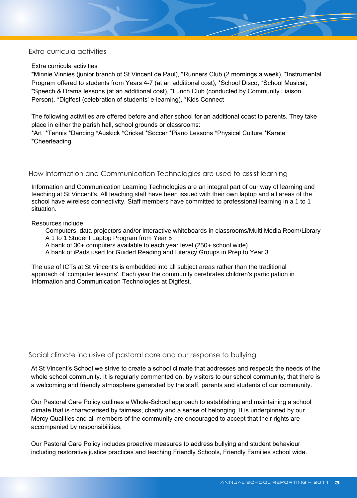#### Extra curricula activities

#### Extra curricula activities

\*Minnie Vinnies (junior branch of St Vincent de Paul), \*Runners Club (2 mornings a week), \*Instrumental Program offered to students from Years 4-7 (at an additional cost), \*School Disco, \*School Musical, \*Speech & Drama lessons (at an additional cost), \*Lunch Club (conducted by Community Liaison Person), \*Digifest (celebration of students' e-learning), \*Kids Connect

The following activities are offered before and after school for an additional coast to parents. They take place in either the parish hall, school grounds or classrooms:

\*Art \*Tennis \*Dancing \*Auskick \*Cricket \*Soccer \*Piano Lessons \*Physical Culture \*Karate \*Cheerleading

#### How Information and Communication Technologies are used to assist learning

Information and Communication Learning Technologies are an integral part of our way of learning and teaching at St Vincent's. All teaching staff have been issued with their own laptop and all areas of the school have wireless connectivity. Staff members have committed to professional learning in a 1 to 1 situation.

Resources include:

 Computers, data projectors and/or interactive whiteboards in classrooms/Multi Media Room/Library A 1 to 1 Student Laptop Program from Year 5

A bank of 30+ computers available to each year level (250+ school wide)

A bank of iPads used for Guided Reading and Literacy Groups in Prep to Year 3

The use of ICTs at St Vincent's is embedded into all subject areas rather than the traditional approach of 'computer lessons'. Each year the community cerebrates children's participation in Information and Communication Technologies at Digifest.

#### Social climate inclusive of pastoral care and our response to bullying

At St Vincent's School we strive to create a school climate that addresses and respects the needs of the whole school community. It is regularly commented on, by visitors to our school community, that there is a welcoming and friendly atmosphere generated by the staff, parents and students of our community.

Our Pastoral Care Policy outlines a Whole-School approach to establishing and maintaining a school climate that is characterised by fairness, charity and a sense of belonging. It is underpinned by our Mercy Qualities and all members of the community are encouraged to accept that their rights are accompanied by responsibilities.

Our Pastoral Care Policy includes proactive measures to address bullying and student behaviour including restorative justice practices and teaching Friendly Schools, Friendly Families school wide.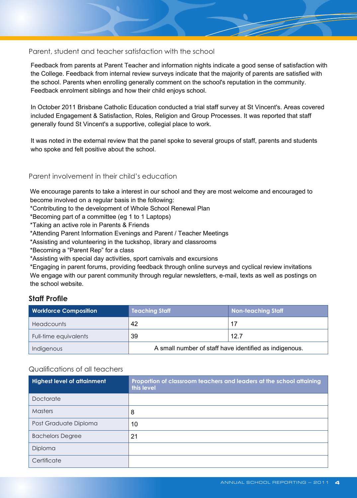### Parent, student and teacher satisfaction with the school

Feedback from parents at Parent Teacher and information nights indicate a good sense of satisfaction with the College. Feedback from internal review surveys indicate that the majority of parents are satisfied with the school. Parents when enrolling generally comment on the school's reputation in the community. Feedback enrolment siblings and how their child enjoys school.

In October 2011 Brisbane Catholic Education conducted a trial staff survey at St Vincent's. Areas covered included Engagement & Satisfaction, Roles, Religion and Group Processes. It was reported that staff generally found St Vincent's a supportive, collegial place to work.

It was noted in the external review that the panel spoke to several groups of staff, parents and students who spoke and felt positive about the school.

#### Parent involvement in their child's education

We encourage parents to take a interest in our school and they are most welcome and encouraged to become involved on a regular basis in the following:

\*Contributing to the development of Whole School Renewal Plan

\*Becoming part of a committee (eg 1 to 1 Laptops)

\*Taking an active role in Parents & Friends

\*Attending Parent Information Evenings and Parent / Teacher Meetings

\*Assisting and volunteering in the tuckshop, library and classrooms

\*Becoming a "Parent Rep" for a class

\*Assisting with special day activities, sport carnivals and excursions

\*Engaging in parent forums, providing feedback through online surveys and cyclical review invitations We engage with our parent community through regular newsletters, e-mail, texts as well as postings on the school website.

### **Staff Profile**

| <b>Workforce Composition</b> | <b>Teaching Staff</b>                                  | <b>Non-teaching Staff</b> |  |  |
|------------------------------|--------------------------------------------------------|---------------------------|--|--|
| <b>Headcounts</b>            | 42                                                     | 17                        |  |  |
| Full-time equivalents        | 39                                                     | 12.7                      |  |  |
| Indigenous                   | A small number of staff have identified as indigenous. |                           |  |  |

#### Qualifications of all teachers

| <b>Highest level of attainment</b> | Proportion of classroom teachers and leaders at the school attaining<br>this level |
|------------------------------------|------------------------------------------------------------------------------------|
| Doctorate                          |                                                                                    |
| Masters                            | 8                                                                                  |
| Post Graduate Diploma              | 10                                                                                 |
| <b>Bachelors Degree</b>            | 21                                                                                 |
| Diploma                            |                                                                                    |
| Certificate                        |                                                                                    |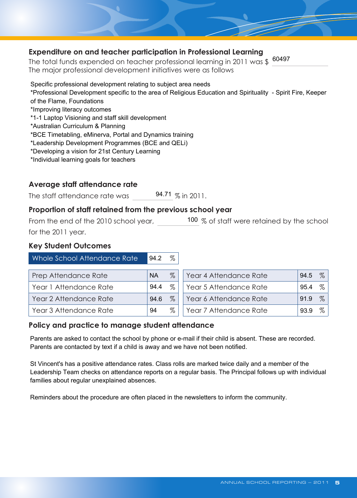### **Expenditure on and teacher participation in Professional Learning**

The total funds expended on teacher professional learning in 2011 was \$  $\frac{60497}{\pi}$ 

Specific professional development relating to subject area needs \*Professional Development specific to the area of Religious Education and Spirituality - Spirit Fire, Keeper of the Flame, Foundations \*Improving literacy outcomes \*1-1 Laptop Visioning and staff skill development \*Australian Curriculum & Planning \*BCE Timetabling, eMinerva, Portal and Dynamics training \*Leadership Development Programmes (BCE and QELi) \*Developing a vision for 21st Century Learning \*Individual learning goals for teachers

# **Average staff attendance rate**

The staff attendance rate was 94.71  $\%$  in 2011.

# **Proportion of staff retained from the previous school year**

From the end of the 2010 school year,  $\frac{100}{\%}$  of staff were retained by the school for the 2011 year.

### **Key Student Outcomes**

| Whole School Attendance Rate | 94.2      | %    |                        |      |      |
|------------------------------|-----------|------|------------------------|------|------|
| Prep Attendance Rate         | <b>NA</b> | $\%$ | Year 4 Attendance Rate | 94.5 | $\%$ |
| Year 1 Attendance Rate       | 94.4      | $\%$ | Year 5 Attendance Rate | 95.4 | $\%$ |
| Year 2 Attendance Rate       | 94.6      | $\%$ | Year 6 Attendance Rate | 91.9 | $\%$ |
| Year 3 Attendance Rate       | 94        | %    | Year 7 Attendance Rate | 93.9 | ℅    |

# **Policy and practice to manage student attendance**

Parents are asked to contact the school by phone or e-mail if their child is absent. These are recorded. Parents are contacted by text if a child is away and we have not been notified.

St Vincent's has a positive attendance rates. Class rolls are marked twice daily and a member of the Leadership Team checks on attendance reports on a regular basis. The Principal follows up with individual families about regular unexplained absences.

Reminders about the procedure are often placed in the newsletters to inform the community.